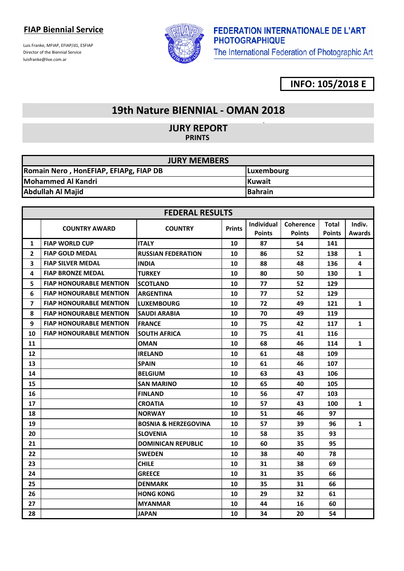Luis Franke, MFIAP, EFIAP/d1, ESFIAP Director of the Biennial Service luisfranke@live.com.ar



# **FEDERATION INTERNATIONALE DE L'ART PHOTOGRAPHIQUE**

The International Federation of Photographic Art

### **INFO: 105/2018 E**

### **19th Nature BIENNIAL - OMAN 2018**

**JURY REPORT PRINTS** 

| <b>JURY MEMBERS</b>                                  |                |  |  |  |
|------------------------------------------------------|----------------|--|--|--|
| Romain Nero, HonEFIAP, EFIAPg, FIAP DB<br>Luxembourg |                |  |  |  |
| Mohammed Al Kandri                                   | <b>Kuwait</b>  |  |  |  |
| <b>Abdullah Al Majid</b>                             | <b>Bahrain</b> |  |  |  |

|                | <b>FEDERAL RESULTS</b>         |                                 |               |               |                  |               |               |
|----------------|--------------------------------|---------------------------------|---------------|---------------|------------------|---------------|---------------|
|                | <b>COUNTRY AWARD</b>           |                                 | <b>Prints</b> | Individual    | <b>Coherence</b> | <b>Total</b>  | Indiv.        |
|                |                                | <b>COUNTRY</b>                  |               | <b>Points</b> | <b>Points</b>    | <b>Points</b> | <b>Awards</b> |
| 1              | <b>FIAP WORLD CUP</b>          | <b>ITALY</b>                    | 10            | 87            | 54               | 141           |               |
| $\overline{2}$ | <b>FIAP GOLD MEDAL</b>         | <b>RUSSIAN FEDERATION</b>       | 10            | 86            | 52               | 138           | $\mathbf{1}$  |
| 3              | <b>FIAP SILVER MEDAL</b>       | <b>INDIA</b>                    | 10            | 88            | 48               | 136           | 4             |
| 4              | <b>FIAP BRONZE MEDAL</b>       | <b>TURKEY</b>                   | 10            | 80            | 50               | 130           | $\mathbf{1}$  |
| 5              | <b>FIAP HONOURABLE MENTION</b> | <b>SCOTLAND</b>                 | 10            | 77            | 52               | 129           |               |
| 6              | <b>FIAP HONOURABLE MENTION</b> | IARGENTINA                      | 10            | 77            | 52               | 129           |               |
| 7              | <b>FIAP HONOURABLE MENTION</b> | <b>LUXEMBOURG</b>               | 10            | 72            | 49               | 121           | 1             |
| 8              | <b>FIAP HONOURABLE MENTION</b> | <b>SAUDI ARABIA</b>             | 10            | 70            | 49               | 119           |               |
| 9              | <b>FIAP HONOURABLE MENTION</b> | <b>IFRANCE</b>                  | 10            | 75            | 42               | 117           | $\mathbf{1}$  |
| 10             | <b>FIAP HONOURABLE MENTION</b> | <b>SOUTH AFRICA</b>             | 10            | 75            | 41               | 116           |               |
| 11             |                                | <b>OMAN</b>                     | 10            | 68            | 46               | 114           | 1             |
| 12             |                                | <b>IRELAND</b>                  | 10            | 61            | 48               | 109           |               |
| 13             |                                | <b>SPAIN</b>                    | 10            | 61            | 46               | 107           |               |
| 14             |                                | <b>BELGIUM</b>                  | 10            | 63            | 43               | 106           |               |
| 15             |                                | <b>SAN MARINO</b>               | 10            | 65            | 40               | 105           |               |
| 16             |                                | <b>FINLAND</b>                  | 10            | 56            | 47               | 103           |               |
| 17             |                                | <b>CROATIA</b>                  | 10            | 57            | 43               | 100           | $\mathbf{1}$  |
| 18             |                                | <b>NORWAY</b>                   | 10            | 51            | 46               | 97            |               |
| 19             |                                | <b>BOSNIA &amp; HERZEGOVINA</b> | 10            | 57            | 39               | 96            | $\mathbf{1}$  |
| 20             |                                | <b>SLOVENIA</b>                 | 10            | 58            | 35               | 93            |               |
| 21             |                                | <b>DOMINICAN REPUBLIC</b>       | 10            | 60            | 35               | 95            |               |
| 22             |                                | <b>SWEDEN</b>                   | 10            | 38            | 40               | 78            |               |
| 23             |                                | <b>CHILE</b>                    | 10            | 31            | 38               | 69            |               |
| 24             |                                | <b>GREECE</b>                   | 10            | 31            | 35               | 66            |               |
| 25             |                                | <b>DENMARK</b>                  | 10            | 35            | 31               | 66            |               |
| 26             |                                | <b>HONG KONG</b>                | 10            | 29            | 32               | 61            |               |
| 27             |                                | <b>MYANMAR</b>                  | 10            | 44            | 16               | 60            |               |
| 28             |                                | <b>JAPAN</b>                    | 10            | 34            | 20               | 54            |               |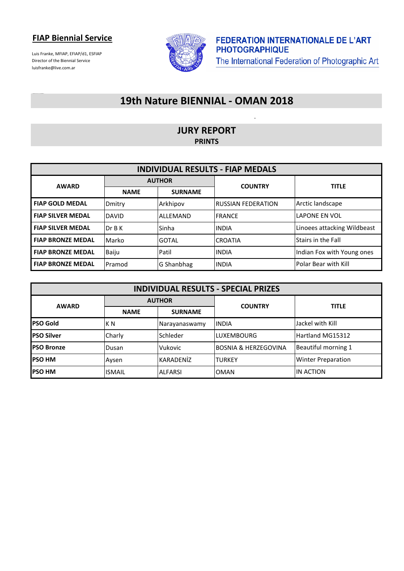Luis Franke, MFIAP, EFIAP/d1, ESFIAP Director of the Biennial Service luisfranke@live.com.ar



### **19th Nature BIENNIAL - OMAN 2018**

#### **JURY REPORT PRINTS**

| <b>INDIVIDUAL RESULTS - FIAP MEDALS</b> |               |                |                            |                             |  |  |
|-----------------------------------------|---------------|----------------|----------------------------|-----------------------------|--|--|
| <b>AWARD</b>                            | <b>AUTHOR</b> |                | <b>COUNTRY</b>             | <b>TITLE</b>                |  |  |
|                                         | <b>NAME</b>   | <b>SURNAME</b> |                            |                             |  |  |
| <b>FIAP GOLD MEDAL</b>                  | Dmitry        | Arkhipov       | <b>IRUSSIAN FEDERATION</b> | Arctic landscape            |  |  |
| <b>FIAP SILVER MEDAL</b>                | <b>DAVID</b>  | ALLEMAND       | <b>IFRANCE</b>             | <b>LAPONE EN VOL</b>        |  |  |
| <b>FIAP SILVER MEDAL</b>                | Dr B K        | Sinha          | <b>IINDIA</b>              | Linoees attacking Wildbeast |  |  |
| <b>FIAP BRONZE MEDAL</b>                | Marko         | <b>GOTAL</b>   | <b>CROATIA</b>             | <b>Stairs in the Fall</b>   |  |  |
| <b>FIAP BRONZE MEDAL</b>                | Baiju         | Patil          | <b>IINDIA</b>              | Indian Fox with Young ones  |  |  |
| <b>FIAP BRONZE MEDAL</b>                | Pramod        | G Shanbhag     | <b>INDIA</b>               | Polar Bear with Kill        |  |  |

| <b>INDIVIDUAL RESULTS - SPECIAL PRIZES</b> |               |                |                                 |                           |  |  |
|--------------------------------------------|---------------|----------------|---------------------------------|---------------------------|--|--|
| <b>AWARD</b>                               | <b>AUTHOR</b> |                | <b>COUNTRY</b>                  | <b>TITLE</b>              |  |  |
|                                            | <b>NAME</b>   | <b>SURNAME</b> |                                 |                           |  |  |
| <b>PSO Gold</b>                            | IK N          | Narayanaswamy  | <b>IINDIA</b>                   | Jackel with Kill          |  |  |
| <b>PSO Silver</b>                          | Charly        | Schleder       | <b>LUXEMBOURG</b>               | Hartland MG15312          |  |  |
| <b>PSO Bronze</b>                          | Dusan         | Vukovic        | <b>BOSNIA &amp; HERZEGOVINA</b> | Beautiful morning 1       |  |  |
| <b>PSO HM</b>                              | Aysen         | KARADENİZ      | <b>TURKEY</b>                   | <b>Winter Preparation</b> |  |  |
| <b>PSO HM</b>                              | <b>ISMAIL</b> | <b>ALFARSI</b> | <b>OMAN</b>                     | IN ACTION                 |  |  |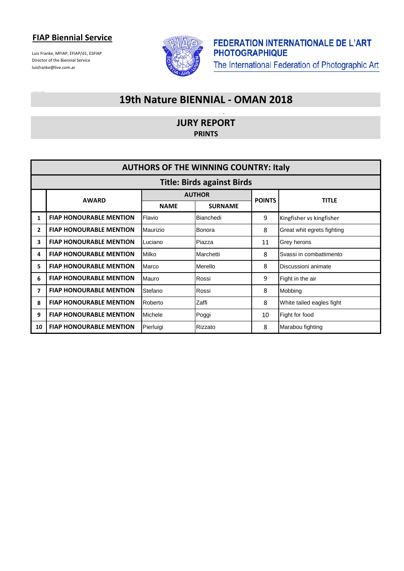Luis Franke, MFIAP, EFIAP/d1, ESFIAP Director of the Biennial Service luisfranke@live.com.ar



### **19th Nature BIENNIAL - OMAN 2018**

**JURY REPORT PRINTS**

|              | <b>AUTHORS OF THE WINNING COUNTRY: Italy</b> |             |                |               |                            |  |  |
|--------------|----------------------------------------------|-------------|----------------|---------------|----------------------------|--|--|
|              | <b>Title: Birds against Birds</b>            |             |                |               |                            |  |  |
|              | <b>AWARD</b>                                 |             | <b>AUTHOR</b>  |               | <b>TITLE</b>               |  |  |
|              |                                              | <b>NAME</b> | <b>SURNAME</b> | <b>POINTS</b> |                            |  |  |
| 1            | <b>FIAP HONOURABLE MENTION</b>               | Flavio      | Bianchedi      | 9             | Kingfisher vs kingfisher   |  |  |
| $\mathbf{2}$ | <b>FIAP HONOURABLE MENTION</b>               | Maurizio    | Bonora         | 8             | Great whit egrets fighting |  |  |
| 3            | <b>FIAP HONOURABLE MENTION</b>               | Luciano     | Piazza         | 11            | Grey herons                |  |  |
| 4            | <b>FIAP HONOURABLE MENTION</b>               | Milko       | Marchetti      | 8             | Svassi in combattimento    |  |  |
| 5            | <b>FIAP HONOURABLE MENTION</b>               | Marco       | Merello        | 8             | Discussioni animate        |  |  |
| 6            | <b>FIAP HONOURABLE MENTION</b>               | Mauro       | Rossi          | 9             | Fight in the air           |  |  |
| 7            | <b>FIAP HONOURABLE MENTION</b>               | Stefano     | Rossi          | 8             | Mobbing                    |  |  |
| 8            | <b>FIAP HONOURABLE MENTION</b>               | Roberto     | Zaffi          | 8             | White tailed eagles fight  |  |  |
| 9            | <b>FIAP HONOURABLE MENTION</b>               | Michele     | Poggi          | 10            | Fight for food             |  |  |
| 10           | <b>FIAP HONOURABLE MENTION</b>               | Pierluigi   | Rizzato        | 8             | Marabou fighting           |  |  |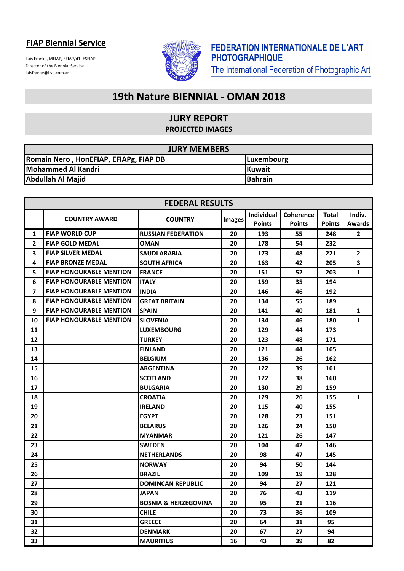Luis Franke, MFIAP, EFIAP/d1, ESFIAP Director of the Biennial Service luisfranke@live.com.ar



 $\overline{a}$ 

## **19th Nature BIENNIAL - OMAN 2018**

#### **JURY REPORT PROJECTED IMAGES**

| <b>JURY MEMBERS</b>                    |                |  |  |  |
|----------------------------------------|----------------|--|--|--|
| Romain Nero, HonEFIAP, EFIAPg, FIAP DB | Luxembourg     |  |  |  |
| Mohammed Al Kandri                     | <b>IKuwait</b> |  |  |  |
| <b>Abdullah Al Majid</b>               | <b>Bahrain</b> |  |  |  |

|                         | <b>FEDERAL RESULTS</b>         |                                 |               |               |                  |               |               |  |
|-------------------------|--------------------------------|---------------------------------|---------------|---------------|------------------|---------------|---------------|--|
|                         | <b>COUNTRY AWARD</b>           |                                 |               | Individual    | <b>Coherence</b> | <b>Total</b>  | Indiv.        |  |
|                         |                                | <b>COUNTRY</b>                  | <b>Images</b> | <b>Points</b> | <b>Points</b>    | <b>Points</b> | <b>Awards</b> |  |
| 1                       | <b>FIAP WORLD CUP</b>          | <b>RUSSIAN FEDERATION</b>       | 20            | 193           | 55               | 248           | $\mathbf{2}$  |  |
| $\overline{2}$          | <b>FIAP GOLD MEDAL</b>         | OMAN                            | 20            | 178           | 54               | 232           |               |  |
| 3                       | <b>FIAP SILVER MEDAL</b>       | <b>SAUDI ARABIA</b>             | 20            | 173           | 48               | 221           | $\mathbf{2}$  |  |
| 4                       | <b>FIAP BRONZE MEDAL</b>       | <b>SOUTH AFRICA</b>             | 20            | 163           | 42               | 205           | 3             |  |
| 5                       | <b>FIAP HONOURABLE MENTION</b> | <b>IFRANCE</b>                  | 20            | 151           | 52               | 203           | $\mathbf{1}$  |  |
| 6                       | <b>FIAP HONOURABLE MENTION</b> | <b>ITALY</b>                    | 20            | 159           | 35               | 194           |               |  |
| $\overline{\mathbf{z}}$ | <b>FIAP HONOURABLE MENTION</b> | <b>INDIA</b>                    | 20            | 146           | 46               | 192           |               |  |
| 8                       | <b>FIAP HONOURABLE MENTION</b> | <b>GREAT BRITAIN</b>            | 20            | 134           | 55               | 189           |               |  |
| 9                       | <b>FIAP HONOURABLE MENTION</b> | <b>SPAIN</b>                    | 20            | 141           | 40               | 181           | $\mathbf{1}$  |  |
| 10                      | <b>FIAP HONOURABLE MENTION</b> | <b>SLOVENIA</b>                 | 20            | 134           | 46               | 180           | $\mathbf{1}$  |  |
| 11                      |                                | <b>LUXEMBOURG</b>               | 20            | 129           | 44               | 173           |               |  |
| 12                      |                                | <b>TURKEY</b>                   | 20            | 123           | 48               | 171           |               |  |
| 13                      |                                | <b>FINLAND</b>                  | 20            | 121           | 44               | 165           |               |  |
| 14                      |                                | <b>BELGIUM</b>                  | 20            | 136           | 26               | 162           |               |  |
| 15                      |                                | <b>ARGENTINA</b>                | 20            | 122           | 39               | 161           |               |  |
| 16                      |                                | <b>SCOTLAND</b>                 | 20            | 122           | 38               | 160           |               |  |
| 17                      |                                | <b>BULGARIA</b>                 | 20            | 130           | 29               | 159           |               |  |
| 18                      |                                | <b>CROATIA</b>                  | 20            | 129           | 26               | 155           | $\mathbf{1}$  |  |
| 19                      |                                | <b>IRELAND</b>                  | 20            | 115           | 40               | 155           |               |  |
| 20                      |                                | <b>EGYPT</b>                    | 20            | 128           | 23               | 151           |               |  |
| 21                      |                                | <b>BELARUS</b>                  | 20            | 126           | 24               | 150           |               |  |
| 22                      |                                | <b>MYANMAR</b>                  | 20            | 121           | 26               | 147           |               |  |
| 23                      |                                | <b>SWEDEN</b>                   | 20            | 104           | 42               | 146           |               |  |
| 24                      |                                | <b>NETHERLANDS</b>              | 20            | 98            | 47               | 145           |               |  |
| 25                      |                                | <b>NORWAY</b>                   | 20            | 94            | 50               | 144           |               |  |
| 26                      |                                | <b>BRAZIL</b>                   | 20            | 109           | 19               | 128           |               |  |
| 27                      |                                | <b>DOMINCAN REPUBLIC</b>        | 20            | 94            | 27               | 121           |               |  |
| 28                      |                                | JAPAN                           | 20            | 76            | 43               | 119           |               |  |
| 29                      |                                | <b>BOSNIA &amp; HERZEGOVINA</b> | 20            | 95            | 21               | 116           |               |  |
| 30                      |                                | <b>CHILE</b>                    | 20            | 73            | 36               | 109           |               |  |
| 31                      |                                | <b>GREECE</b>                   | 20            | 64            | 31               | 95            |               |  |
| 32                      |                                | <b>DENMARK</b>                  | 20            | 67            | 27               | 94            |               |  |
| 33                      |                                | <b>MAURITIUS</b>                | 16            | 43            | 39               | 82            |               |  |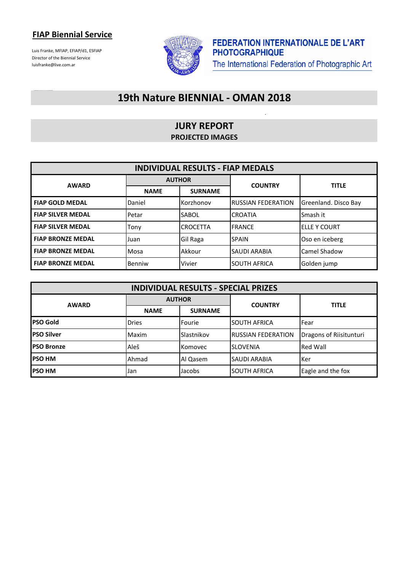Luis Franke, MFIAP, EFIAP/d1, ESFIAP Director of the Biennial Service luisfranke@live.com.ar



 $\ddot{\phantom{a}}$ 

## **19th Nature BIENNIAL - OMAN 2018**

#### **JURY REPORT PROJECTED IMAGES**

| <b>INDIVIDUAL RESULTS - FIAP MEDALS</b> |               |                 |                            |                      |  |
|-----------------------------------------|---------------|-----------------|----------------------------|----------------------|--|
| <b>AWARD</b>                            | <b>AUTHOR</b> |                 | <b>COUNTRY</b>             | <b>TITLE</b>         |  |
|                                         | <b>NAME</b>   | <b>SURNAME</b>  |                            |                      |  |
| <b>FIAP GOLD MEDAL</b>                  | Daniel        | Korzhonov       | <b>IRUSSIAN FEDERATION</b> | Greenland. Disco Bay |  |
| <b>FIAP SILVER MEDAL</b>                | Petar         | <b>SABOL</b>    | <b>CROATIA</b>             | Smash it             |  |
| <b>FIAP SILVER MEDAL</b>                | Tony          | <b>CROCETTA</b> | <b>FRANCE</b>              | <b>IELLE Y COURT</b> |  |
| <b>FIAP BRONZE MEDAL</b>                | Juan          | Gil Raga        | <b>SPAIN</b>               | Oso en iceberg       |  |
| <b>FIAP BRONZE MEDAL</b>                | Mosa          | Akkour          | <b>SAUDI ARABIA</b>        | Camel Shadow         |  |
| <b>FIAP BRONZE MEDAL</b>                | Benniw        | Vivier          | <b>SOUTH AFRICA</b>        | Golden jump          |  |

| <b>INDIVIDUAL RESULTS - SPECIAL PRIZES</b> |              |                |                           |                         |  |  |
|--------------------------------------------|--------------|----------------|---------------------------|-------------------------|--|--|
| <b>AWARD</b>                               |              | <b>AUTHOR</b>  | <b>TITLE</b>              |                         |  |  |
|                                            | <b>NAME</b>  | <b>SURNAME</b> | <b>COUNTRY</b>            |                         |  |  |
| <b>PSO Gold</b>                            | <b>Dries</b> | Fourie         | <b>SOUTH AFRICA</b>       | lFear                   |  |  |
| <b>PSO Silver</b>                          | Maxim        | Slastnikov     | <b>RUSSIAN FEDERATION</b> | Dragons of Riisitunturi |  |  |
| <b>IPSO Bronze</b>                         | Aleš         | Komovec        | <b>SLOVENIA</b>           | <b>Red Wall</b>         |  |  |
| <b>PSO HM</b>                              | Ahmad        | Al Qasem       | <b>SAUDI ARABIA</b>       | <b>Ker</b>              |  |  |
| <b>PSO HM</b>                              | Jan          | Jacobs         | <b>SOUTH AFRICA</b>       | Eagle and the fox       |  |  |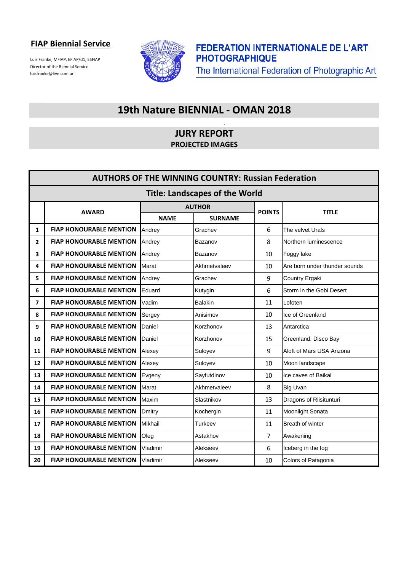Luis Franke, MFIAP, EFIAP/d1, ESFIAP Director of the Biennial Service luisfranke@live.com.ar



**FEDERATION INTERNATIONALE DE L'ART PHOTOGRAPHIQUE** The International Federation of Photographic Art

### **19th Nature BIENNIAL - OMAN 2018**

#### **JURY REPORT PROJECTED IMAGES**

| <b>AUTHORS OF THE WINNING COUNTRY: Russian Federation</b> |                                       |                |                |                |                               |  |
|-----------------------------------------------------------|---------------------------------------|----------------|----------------|----------------|-------------------------------|--|
|                                                           | <b>Title: Landscapes of the World</b> |                |                |                |                               |  |
|                                                           | <b>AWARD</b>                          |                | <b>AUTHOR</b>  | <b>POINTS</b>  | <b>TITLE</b>                  |  |
|                                                           |                                       | <b>NAME</b>    | <b>SURNAME</b> |                |                               |  |
| 1                                                         | <b>FIAP HONOURABLE MENTION</b>        | Andrey         | Grachev        | 6              | The velvet Urals              |  |
| 2                                                         | <b>FIAP HONOURABLE MENTION</b>        | Andrey         | Bazanov        | 8              | Northern luminescence         |  |
| 3                                                         | <b>FIAP HONOURABLE MENTION</b>        | Andrey         | Bazanov        | 10             | Foggy lake                    |  |
| 4                                                         | <b>FIAP HONOURABLE MENTION</b>        | Marat          | Akhmetvaleev   | 10             | Are born under thunder sounds |  |
| 5                                                         | <b>FIAP HONOURABLE MENTION</b>        | Andrey         | Grachev        | 9              | Country Ergaki                |  |
| 6                                                         | <b>FIAP HONOURABLE MENTION</b>        | Eduard         | Kutygin        | 6              | Storm in the Gobi Desert      |  |
| 7                                                         | <b>FIAP HONOURABLE MENTION</b>        | Vadim          | <b>Balakin</b> | 11             | Lofoten                       |  |
| 8                                                         | <b>FIAP HONOURABLE MENTION</b>        | Sergey         | Anisimov       | 10             | Ice of Greenland              |  |
| 9                                                         | <b>FIAP HONOURABLE MENTION</b>        | Daniel         | Korzhonov      | 13             | Antarctica                    |  |
| 10                                                        | <b>FIAP HONOURABLE MENTION</b>        | Daniel         | Korzhonov      | 15             | Greenland. Disco Bay          |  |
| 11                                                        | <b>FIAP HONOURABLE MENTION</b>        | Alexey         | Suloyev        | 9              | Aloft of Mars USA Arizona     |  |
| 12                                                        | <b>FIAP HONOURABLE MENTION</b>        | Alexey         | Suloyev        | 10             | Moon landscape                |  |
| 13                                                        | <b>FIAP HONOURABLE MENTION</b>        | Evgeny         | Sayfutdinov    | 10             | Ice caves of Baikal           |  |
| 14                                                        | <b>FIAP HONOURABLE MENTION</b>        | Marat          | Akhmetvaleev   | 8              | <b>Big Uvan</b>               |  |
| 15                                                        | <b>FIAP HONOURABLE MENTION</b>        | Maxim          | Slastnikov     | 13             | Dragons of Riisitunturi       |  |
| 16                                                        | <b>FIAP HONOURABLE MENTION</b>        | Dmitry         | Kochergin      | 11             | Moonlight Sonata              |  |
| 17                                                        | <b>FIAP HONOURABLE MENTION</b>        | <b>Mikhail</b> | <b>Turkeev</b> | 11             | Breath of winter              |  |
| 18                                                        | <b>FIAP HONOURABLE MENTION</b>        | Oleg           | Astakhov       | $\overline{7}$ | Awakening                     |  |
| 19                                                        | <b>FIAP HONOURABLE MENTION</b>        | Vladimir       | Alekseev       | 6              | Iceberg in the fog            |  |
| 20                                                        | <b>FIAP HONOURABLE MENTION</b>        | Vladimir       | Alekseev       | 10             | Colors of Patagonia           |  |